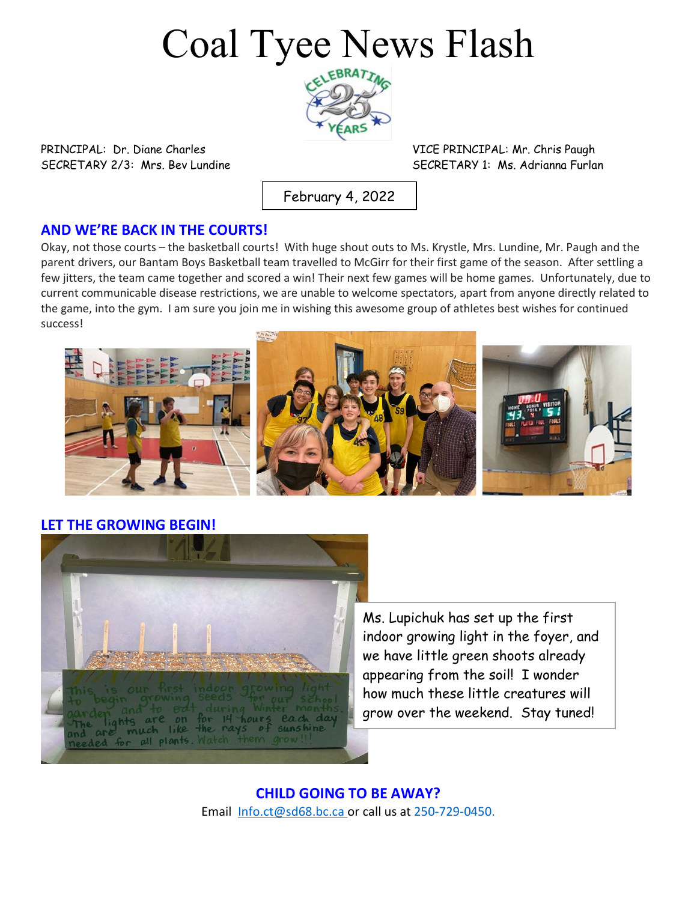# Coal Tyee News Flash



PRINCIPAL: Dr. Diane Charles VICE PRINCIPAL: Mr. Chris Paugh

SECRETARY 2/3: Mrs. Bev Lundine SECRETARY 1: Ms. Adrianna Furlan

February 4, 2022

#### **AND WE'RE BACK IN THE COURTS!**

Okay, not those courts – the basketball courts! With huge shout outs to Ms. Krystle, Mrs. Lundine, Mr. Paugh and the parent drivers, our Bantam Boys Basketball team travelled to McGirr for their first game of the season. After settling a few jitters, the team came together and scored a win! Their next few games will be home games. Unfortunately, due to current communicable disease restrictions, we are unable to welcome spectators, apart from anyone directly related to the game, into the gym. I am sure you join me in wishing this awesome group of athletes best wishes for continued success!



**LET THE GROWING BEGIN!**



Ms. Lupichuk has set up the first indoor growing light in the foyer, and we have little green shoots already appearing from the soil! I wonder how much these little creatures will grow over the weekend. Stay tuned!

**CHILD GOING TO BE AWAY?** Email [Info.ct@sd68.bc.ca](mailto:Info.ct@sd68.bc.ca) or call us at 250-729-0450.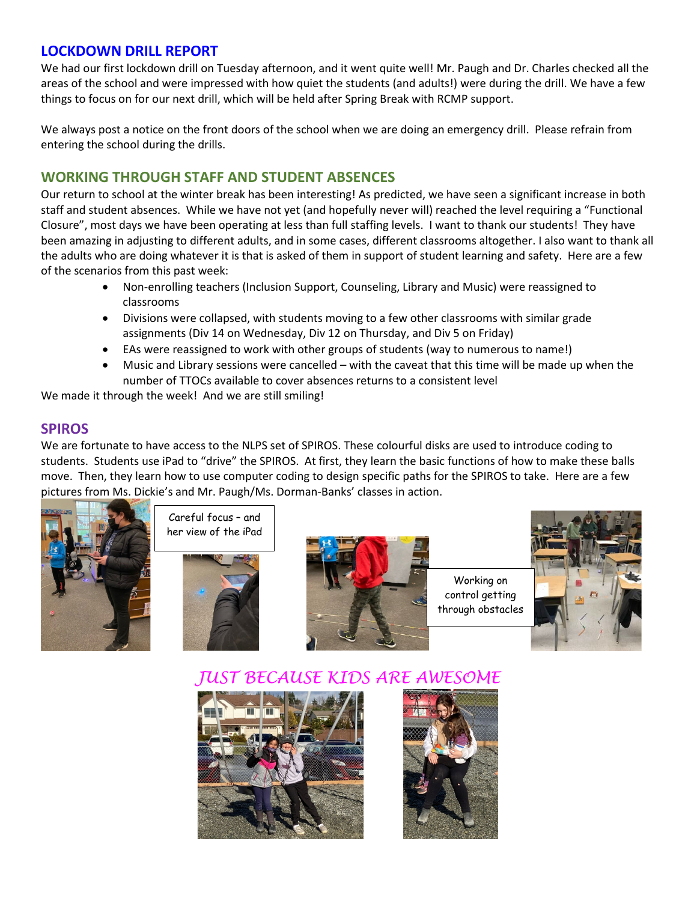#### **LOCKDOWN DRILL REPORT**

We had our first lockdown drill on Tuesday afternoon, and it went quite well! Mr. Paugh and Dr. Charles checked all the areas of the school and were impressed with how quiet the students (and adults!) were during the drill. We have a few things to focus on for our next drill, which will be held after Spring Break with RCMP support.

We always post a notice on the front doors of the school when we are doing an emergency drill. Please refrain from entering the school during the drills.

#### **WORKING THROUGH STAFF AND STUDENT ABSENCES**

Our return to school at the winter break has been interesting! As predicted, we have seen a significant increase in both staff and student absences. While we have not yet (and hopefully never will) reached the level requiring a "Functional Closure", most days we have been operating at less than full staffing levels. I want to thank our students! They have been amazing in adjusting to different adults, and in some cases, different classrooms altogether. I also want to thank all the adults who are doing whatever it is that is asked of them in support of student learning and safety. Here are a few of the scenarios from this past week:

- Non-enrolling teachers (Inclusion Support, Counseling, Library and Music) were reassigned to classrooms
- Divisions were collapsed, with students moving to a few other classrooms with similar grade assignments (Div 14 on Wednesday, Div 12 on Thursday, and Div 5 on Friday)
- EAs were reassigned to work with other groups of students (way to numerous to name!)
- Music and Library sessions were cancelled with the caveat that this time will be made up when the number of TTOCs available to cover absences returns to a consistent level

We made it through the week! And we are still smiling!

#### **SPIROS**

We are fortunate to have access to the NLPS set of SPIROS. These colourful disks are used to introduce coding to students. Students use iPad to "drive" the SPIROS. At first, they learn the basic functions of how to make these balls move. Then, they learn how to use computer coding to design specific paths for the SPIROS to take. Here are a few pictures from Ms. Dickie's and Mr. Paugh/Ms. Dorman-Banks' classes in action.



Careful focus – and her view of the iPad





Working on control getting through obstacles



*JUST BECAUSE KIDS ARE AWESOME*